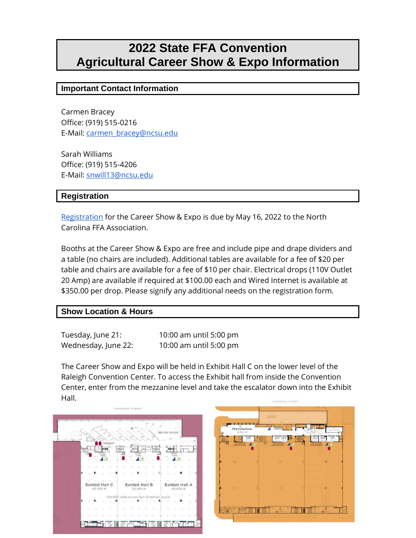# **2022 State FFA Convention Agricultural Career Show & Expo Information**

## **Important Contact Information**

Carmen Bracey Office: (919) 515-0216 E-Mail: [carmen\\_bracey@ncsu.edu](mailto:carmen_bracey@ncsu.edu) 

Sarah Williams Office: (919) 515-4206 E-Mail: [snwill13@ncsu.edu](mailto:nwill13@ncsu.edu) 

## **Registration**

[Registration](https://docs.google.com/forms/d/e/1FAIpQLScyZRapYWgL-TOjUjngKKQ3djdMcCJDZGRQgDzjOmZmlMzNaQ/viewform?usp=sf_link) for the Career Show & Expo is due by May 16, 2022 to the North Carolina FFA Association.

Booths at the Career Show & Expo are free and include pipe and drape dividers and a table (no chairs are included). Additional tables are available for a fee of \$20 per table and chairs are available for a fee of \$10 per chair. Electrical drops (110V Outlet 20 Amp) are available if required at \$100.00 each and Wired Internet is available at \$350.00 per drop. Please signify any additional needs on the registration form.

## **Show Location & Hours**

Tuesday, June 21: 10:00 am until 5:00 pm Wednesday, June 22: 10:00 am until 5:00 pm

The Career Show and Expo will be held in Exhibit Hall C on the lower level of the Raleigh Convention Center. To access the Exhibit hall from inside the Convention Center, enter from the mezzanine level and take the escalator down into the Exhibit Hall.



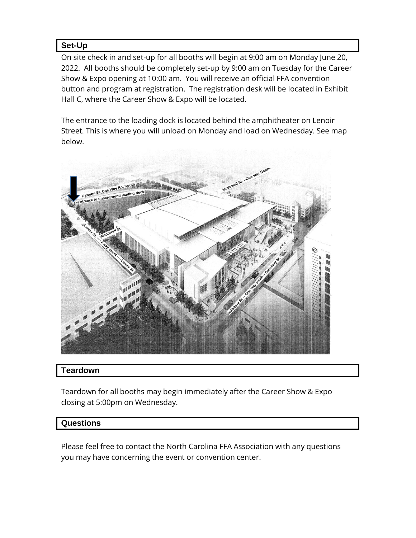# **Set-Up**

On site check in and set-up for all booths will begin at 9:00 am on Monday June 20, 2022. All booths should be completely set-up by 9:00 am on Tuesday for the Career Show & Expo opening at 10:00 am. You will receive an official FFA convention button and program at registration. The registration desk will be located in Exhibit Hall C, where the Career Show & Expo will be located.

The entrance to the loading dock is located behind the amphitheater on Lenoir Street. This is where you will unload on Monday and load on Wednesday. See map below.



## **Teardown**

Teardown for all booths may begin immediately after the Career Show & Expo closing at 5:00pm on Wednesday.

## **Questions**

Please feel free to contact the North Carolina FFA Association with any questions you may have concerning the event or convention center.